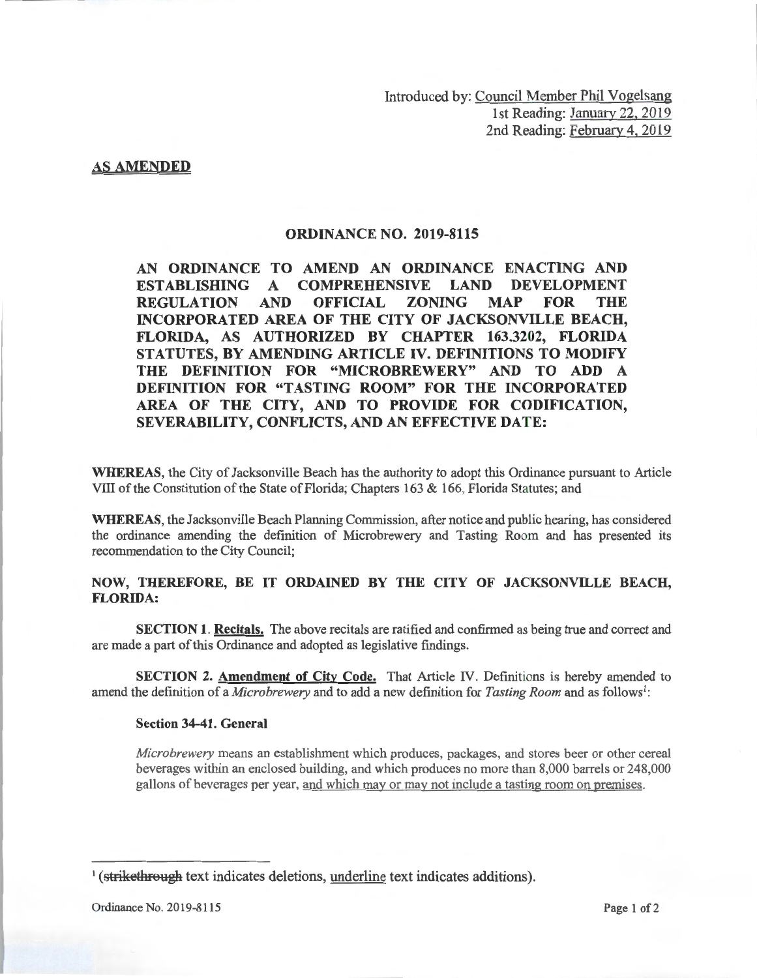Introduced by: Council Member Phil Vogelsang 1st Reading: January 22, 2019 2nd Reading: February 4, 2019

## **AS AMENDED**

## **ORDINANCE NO. 2019-8115**

**AN ORDINANCE TO AMEND AN ORDINANCE ENACTING AND ESTABLISHING A COMPREHENSIVE LAND DEVELOPMENT REGULATION AND OFFICIAL ZONING MAP FOR THE INCORPORATED AREA OF THE CITY OF JACKSONVILLE BEACH, FLORIDA, AS AUTHORIZED BY CHAPTER 163.3202, FLORIDA STATUTES, BY AMENDING ARTICLE IV. DEFINITIONS TO MODIFY THE DEFINITION FOR "MICROBREWERY" AND TO ADD A DEFINITION FOR "TASTING ROOM" FOR THE INCORPORATED AREA OF THE CITY, AND TO PROVIDE FOR CODIFICATION, SEVERABILITY, CONFLICTS, AND AN EFFECTIVE DATE:** 

**WHEREAS,** the City of Jacksonville Beach has the authority to adopt this Ordinance pursuant to Article VIII of the Constitution of the State of Florida; Chapters 163 & 166, Florida Statutes; and

**WHEREAS,** the Jacksonville Beach Planning Commission, after notice and public hearing, has considered the ordinance amending the definition of Microbrewery and Tasting Room and has presented its recommendation to the City Council;

## **NOW, THEREFORE, BE IT ORDAINED BY THE CITY OF JACKSONVILLE BEACH, FLORIDA:**

**SECTION 1. Recitals.** The above recitals are ratified and confirmed as being true and correct and are made a part of this Ordinance and adopted as legislative findings.

**SECTION 2. Amendment of City Code.** That Article IV. Definitions is hereby amended to amend the definition of a *Microbrewery* and to add a new definition for *Tasting Room* and as follows<sup>1</sup>:

## **Section 34-41. General**

*Microbrewery* means an establishment which produces, packages, and stores beer or other cereal beverages within an enclosed building, and which produces no more than 8,000 barrels or 248,000 gallons of beverages per year, and which may or may not include a tasting room on premises.

<sup>&</sup>lt;sup>1</sup> (strikethrough text indicates deletions, underline text indicates additions).